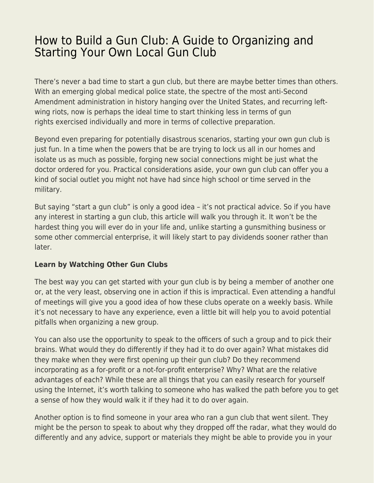## [How to Build a Gun Club: A Guide to Organizing and](https://everything-voluntary.com/how-to-build-a-gun-club-a-guide-to-organizing-and-starting-your-own-local-gun-club) [Starting Your Own Local Gun Club](https://everything-voluntary.com/how-to-build-a-gun-club-a-guide-to-organizing-and-starting-your-own-local-gun-club)

There's never a bad time to start a gun club, but there are maybe better times than others. With an emerging global medical police state, the spectre of the most anti-Second Amendment administration in history hanging over the United States, and recurring leftwing riots, now is perhaps the ideal time to start thinking less in terms of gun rights exercised individually and more in terms of collective preparation.

Beyond even preparing for potentially disastrous scenarios, starting your own gun club is just fun. In a time when the powers that be are trying to lock us all in our homes and isolate us as much as possible, forging new social connections might be just what the doctor ordered for you. Practical considerations aside, your own gun club can offer you a kind of social outlet you might not have had since high school or time served in the military.

But saying "start a gun club" is only a good idea – it's not practical advice. So if you have any interest in starting a gun club, this article will walk you through it. It won't be the hardest thing you will ever do in your life and, unlike starting a gunsmithing business or some other commercial enterprise, it will likely start to pay dividends sooner rather than later.

## **Learn by Watching Other Gun Clubs**

The best way you can get started with your gun club is by being a member of another one or, at the very least, observing one in action if this is impractical. Even attending a handful of meetings will give you a good idea of how these clubs operate on a weekly basis. While it's not necessary to have any experience, even a little bit will help you to avoid potential pitfalls when organizing a new group.

You can also use the opportunity to speak to the officers of such a group and to pick their brains. What would they do differently if they had it to do over again? What mistakes did they make when they were first opening up their gun club? Do they recommend incorporating as a for-profit or a not-for-profit enterprise? Why? What are the relative advantages of each? While these are all things that you can easily research for yourself using the Internet, it's worth talking to someone who has walked the path before you to get a sense of how they would walk it if they had it to do over again.

Another option is to find someone in your area who ran a gun club that went silent. They might be the person to speak to about why they dropped off the radar, what they would do differently and any advice, support or materials they might be able to provide you in your